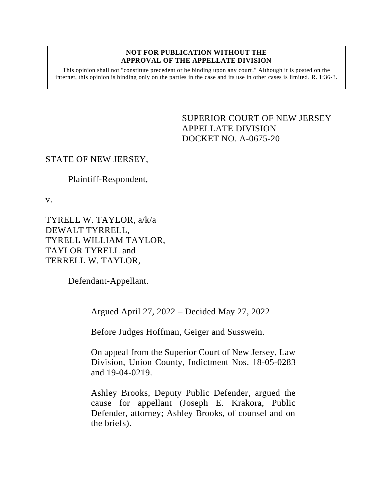#### **NOT FOR PUBLICATION WITHOUT THE APPROVAL OF THE APPELLATE DIVISION**

This opinion shall not "constitute precedent or be binding upon any court." Although it is posted on the internet, this opinion is binding only on the parties in the case and its use in other cases is limited. R. 1:36-3.

> <span id="page-0-0"></span>SUPERIOR COURT OF NEW JERSEY APPELLATE DIVISION DOCKET NO. A-0675-20

### STATE OF NEW JERSEY,

Plaintiff-Respondent,

v.

TYRELL W. TAYLOR, a/k/a DEWALT TYRRELL, TYRELL WILLIAM TAYLOR, TAYLOR TYRELL and TERRELL W. TAYLOR,

Defendant-Appellant.

\_\_\_\_\_\_\_\_\_\_\_\_\_\_\_\_\_\_\_\_\_\_\_\_\_\_

Argued April 27, 2022 – Decided May 27, 2022

Before Judges Hoffman, Geiger and Susswein.

On appeal from the Superior Court of New Jersey, Law Division, Union County, Indictment Nos. 18-05-0283 and 19-04-0219.

Ashley Brooks, Deputy Public Defender, argued the cause for appellant (Joseph E. Krakora, Public Defender, attorney; Ashley Brooks, of counsel and on the briefs).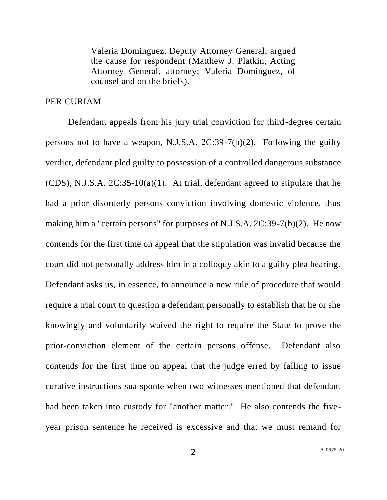Valeria Dominguez, Deputy Attorney General, argued the cause for respondent (Matthew J. Platkin, Acting Attorney General, attorney; Valeria Dominguez, of counsel and on the briefs).

#### PER CURIAM

Defendant appeals from his jury trial conviction for third-degree certain persons not to have a weapon, N.J.S.A.  $2C:39-7(b)(2)$ . Following the guilty verdict, defendant pled guilty to possession of a controlled dangerous substance (CDS), N.J.S.A. 2C:35-10(a)(1). At trial, defendant agreed to stipulate that he had a prior disorderly persons conviction involving domestic violence, thus making him a "certain persons" for purposes of N.J.S.A. 2C:39-7(b)(2). He now contends for the first time on appeal that the stipulation was invalid because the court did not personally address him in a colloquy akin to a guilty plea hearing. Defendant asks us, in essence, to announce a new rule of procedure that would require a trial court to question a defendant personally to establish that he or she knowingly and voluntarily waived the right to require the State to prove the prior-conviction element of the certain persons offense. Defendant also contends for the first time on appeal that the judge erred by failing to issue curative instructions sua sponte when two witnesses mentioned that defendant had been taken into custody for "another matter." He also contends the fiveyear prison sentence he received is excessive and that we must remand for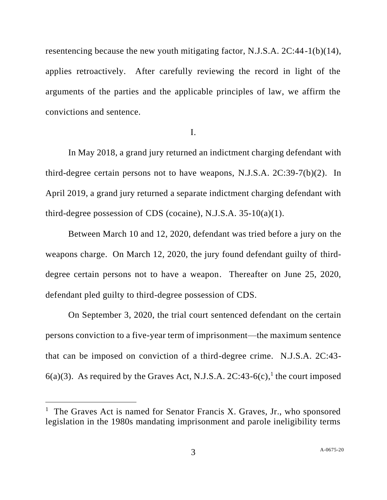resentencing because the new youth mitigating factor, N.J.S.A. 2C:44-1(b)(14), applies retroactively. After carefully reviewing the record in light of the arguments of the parties and the applicable principles of law, we affirm the convictions and sentence.

I.

In May 2018, a grand jury returned an indictment charging defendant with third-degree certain persons not to have weapons, N.J.S.A. 2C:39-7(b)(2). In April 2019, a grand jury returned a separate indictment charging defendant with third-degree possession of CDS (cocaine), N.J.S.A. 35-10(a)(1).

Between March 10 and 12, 2020, defendant was tried before a jury on the weapons charge. On March 12, 2020, the jury found defendant guilty of thirddegree certain persons not to have a weapon. Thereafter on June 25, 2020, defendant pled guilty to third-degree possession of CDS.

On September 3, 2020, the trial court sentenced defendant on the certain persons conviction to a five-year term of imprisonment—the maximum sentence that can be imposed on conviction of a third-degree crime. N.J.S.A. 2C:43-  $6(a)(3)$ . As required by the Graves Act, N.J.S.A. 2C:43- $6(c)$ , the court imposed

<sup>&</sup>lt;sup>1</sup> The Graves Act is named for Senator Francis X. Graves, Jr., who sponsored legislation in the 1980s mandating imprisonment and parole ineligibility terms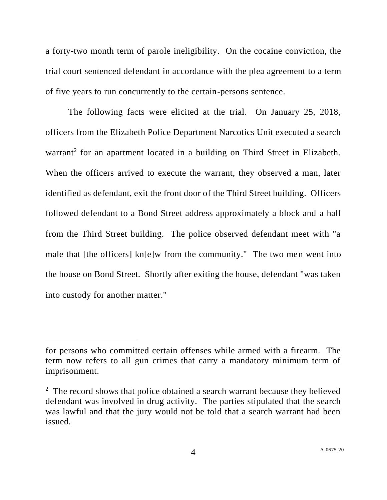a forty-two month term of parole ineligibility. On the cocaine conviction, the trial court sentenced defendant in accordance with the plea agreement to a term of five years to run concurrently to the certain-persons sentence.

The following facts were elicited at the trial. On January 25, 2018, officers from the Elizabeth Police Department Narcotics Unit executed a search warrant<sup>2</sup> for an apartment located in a building on Third Street in Elizabeth. When the officers arrived to execute the warrant, they observed a man, later identified as defendant, exit the front door of the Third Street building. Officers followed defendant to a Bond Street address approximately a block and a half from the Third Street building. The police observed defendant meet with "a male that [the officers] kn[e]w from the community." The two men went into the house on Bond Street. Shortly after exiting the house, defendant "was taken into custody for another matter."

for persons who committed certain offenses while armed with a firearm. The term now refers to all gun crimes that carry a mandatory minimum term of imprisonment.

<sup>&</sup>lt;sup>2</sup> The record shows that police obtained a search warrant because they believed defendant was involved in drug activity. The parties stipulated that the search was lawful and that the jury would not be told that a search warrant had been issued.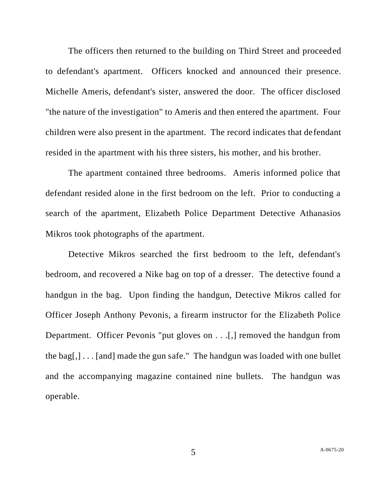The officers then returned to the building on Third Street and proceeded to defendant's apartment. Officers knocked and announced their presence. Michelle Ameris, defendant's sister, answered the door. The officer disclosed "the nature of the investigation" to Ameris and then entered the apartment. Four children were also present in the apartment. The record indicates that defendant resided in the apartment with his three sisters, his mother, and his brother.

The apartment contained three bedrooms. Ameris informed police that defendant resided alone in the first bedroom on the left. Prior to conducting a search of the apartment, Elizabeth Police Department Detective Athanasios Mikros took photographs of the apartment.

Detective Mikros searched the first bedroom to the left, defendant's bedroom, and recovered a Nike bag on top of a dresser. The detective found a handgun in the bag. Upon finding the handgun, Detective Mikros called for Officer Joseph Anthony Pevonis, a firearm instructor for the Elizabeth Police Department. Officer Pevonis "put gloves on . . .[,] removed the handgun from the bag[,]  $\ldots$  [and] made the gun safe." The handgun was loaded with one bullet and the accompanying magazine contained nine bullets. The handgun was operable.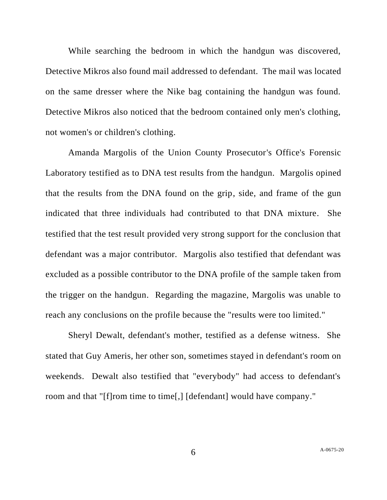While searching the bedroom in which the handgun was discovered, Detective Mikros also found mail addressed to defendant. The mail was located on the same dresser where the Nike bag containing the handgun was found. Detective Mikros also noticed that the bedroom contained only men's clothing, not women's or children's clothing.

Amanda Margolis of the Union County Prosecutor's Office's Forensic Laboratory testified as to DNA test results from the handgun. Margolis opined that the results from the DNA found on the grip, side, and frame of the gun indicated that three individuals had contributed to that DNA mixture. She testified that the test result provided very strong support for the conclusion that defendant was a major contributor. Margolis also testified that defendant was excluded as a possible contributor to the DNA profile of the sample taken from the trigger on the handgun. Regarding the magazine, Margolis was unable to reach any conclusions on the profile because the "results were too limited."

Sheryl Dewalt, defendant's mother, testified as a defense witness. She stated that Guy Ameris, her other son, sometimes stayed in defendant's room on weekends. Dewalt also testified that "everybody" had access to defendant's room and that "[f]rom time to time[,] [defendant] would have company."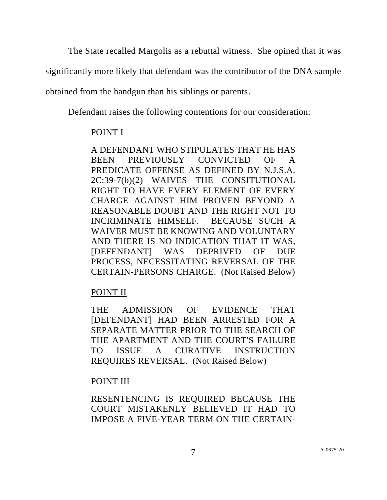The State recalled Margolis as a rebuttal witness. She opined that it was

significantly more likely that defendant was the contributor of the DNA sample

obtained from the handgun than his siblings or parents.

Defendant raises the following contentions for our consideration:

## POINT I

A DEFENDANT WHO STIPULATES THAT HE HAS BEEN PREVIOUSLY CONVICTED OF A PREDICATE OFFENSE AS DEFINED BY N.J.S.A. 2C:39-7(b)(2) WAIVES THE CONSITUTIONAL RIGHT TO HAVE EVERY ELEMENT OF EVERY CHARGE AGAINST HIM PROVEN BEYOND A REASONABLE DOUBT AND THE RIGHT NOT TO INCRIMINATE HIMSELF. BECAUSE SUCH A WAIVER MUST BE KNOWING AND VOLUNTARY AND THERE IS NO INDICATION THAT IT WAS, [DEFENDANT] WAS DEPRIVED OF DUE PROCESS, NECESSITATING REVERSAL OF THE CERTAIN-PERSONS CHARGE. (Not Raised Below)

# POINT II

THE ADMISSION OF EVIDENCE THAT [DEFENDANT] HAD BEEN ARRESTED FOR A SEPARATE MATTER PRIOR TO THE SEARCH OF THE APARTMENT AND THE COURT'S FAILURE TO ISSUE A CURATIVE INSTRUCTION REQUIRES REVERSAL. (Not Raised Below)

## POINT III

RESENTENCING IS REQUIRED BECAUSE THE COURT MISTAKENLY BELIEVED IT HAD TO IMPOSE A FIVE-YEAR TERM ON THE CERTAIN-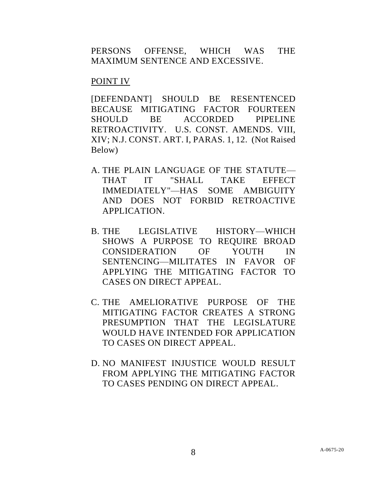PERSONS OFFENSE, WHICH WAS THE MAXIMUM SENTENCE AND EXCESSIVE.

## POINT IV

[DEFENDANT] SHOULD BE RESENTENCED BECAUSE MITIGATING FACTOR FOURTEEN SHOULD BE ACCORDED PIPELINE RETROACTIVITY. U.S. CONST. AMENDS. VIII, XIV; N.J. CONST. ART. I, PARAS. 1, 12. (Not Raised Below)

- A. THE PLAIN LANGUAGE OF THE STATUTE— THAT IT "SHALL TAKE EFFECT IMMEDIATELY"—HAS SOME AMBIGUITY AND DOES NOT FORBID RETROACTIVE APPLICATION.
- B. THE LEGISLATIVE HISTORY—WHICH SHOWS A PURPOSE TO REQUIRE BROAD CONSIDERATION OF YOUTH IN SENTENCING—MILITATES IN FAVOR OF APPLYING THE MITIGATING FACTOR TO CASES ON DIRECT APPEAL.
- C. THE AMELIORATIVE PURPOSE OF THE MITIGATING FACTOR CREATES A STRONG PRESUMPTION THAT THE LEGISLATURE WOULD HAVE INTENDED FOR APPLICATION TO CASES ON DIRECT APPEAL.
- D. NO MANIFEST INJUSTICE WOULD RESULT FROM APPLYING THE MITIGATING FACTOR TO CASES PENDING ON DIRECT APPEAL.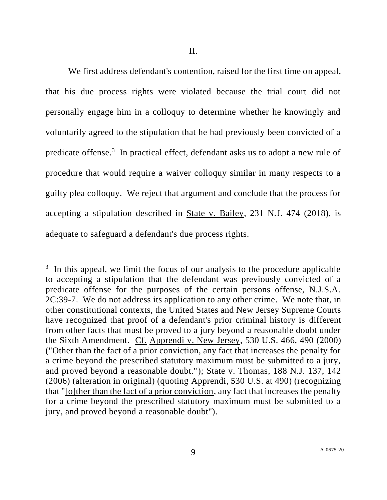We first address defendant's contention, raised for the first time on appeal, that his due process rights were violated because the trial court did not personally engage him in a colloquy to determine whether he knowingly and voluntarily agreed to the stipulation that he had previously been convicted of a predicate offense.<sup>3</sup> In practical effect, defendant asks us to adopt a new rule of procedure that would require a waiver colloquy similar in many respects to a guilty plea colloquy. We reject that argument and conclude that the process for accepting a stipulation described in State v. Bailey, 231 N.J. 474 (2018), is adequate to safeguard a defendant's due process rights.

 $3\,$  In this appeal, we limit the focus of our analysis to the procedure applicable to accepting a stipulation that the defendant was previously convicted of a predicate offense for the purposes of the certain persons offense, N.J.S.A. 2C:39-7. We do not address its application to any other crime. We note that, in other constitutional contexts, the United States and New Jersey Supreme Courts have recognized that proof of a defendant's prior criminal history is different from other facts that must be proved to a jury beyond a reasonable doubt under the Sixth Amendment. Cf. Apprendi v. New Jersey, 530 U.S. 466, 490 (2000) ("Other than the fact of a prior conviction, any fact that increases the penalty for a crime beyond the prescribed statutory maximum must be submitted to a jury, and proved beyond a reasonable doubt."); State v. Thomas, 188 N.J. 137, 142 (2006) (alteration in original) (quoting Apprendi, 530 U.S. at 490) (recognizing that "[o]ther than the fact of a prior conviction, any fact that increases the penalty for a crime beyond the prescribed statutory maximum must be submitted to a jury, and proved beyond a reasonable doubt").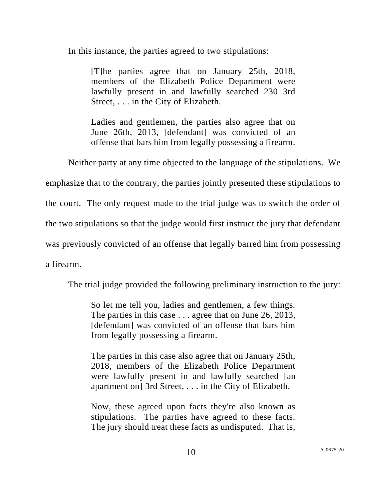In this instance, the parties agreed to two stipulations:

[T]he parties agree that on January 25th, 2018, members of the Elizabeth Police Department were lawfully present in and lawfully searched 230 3rd Street, . . . in the City of Elizabeth.

Ladies and gentlemen, the parties also agree that on June 26th, 2013, [defendant] was convicted of an offense that bars him from legally possessing a firearm.

Neither party at any time objected to the language of the stipulations. We

emphasize that to the contrary, the parties jointly presented these stipulations to

the court. The only request made to the trial judge was to switch the order of

the two stipulations so that the judge would first instruct the jury that defendant

was previously convicted of an offense that legally barred him from possessing

a firearm.

The trial judge provided the following preliminary instruction to the jury:

So let me tell you, ladies and gentlemen, a few things. The parties in this case . . . agree that on June 26, 2013, [defendant] was convicted of an offense that bars him from legally possessing a firearm.

The parties in this case also agree that on January 25th, 2018, members of the Elizabeth Police Department were lawfully present in and lawfully searched [an apartment on] 3rd Street, . . . in the City of Elizabeth.

Now, these agreed upon facts they're also known as stipulations. The parties have agreed to these facts. The jury should treat these facts as undisputed. That is,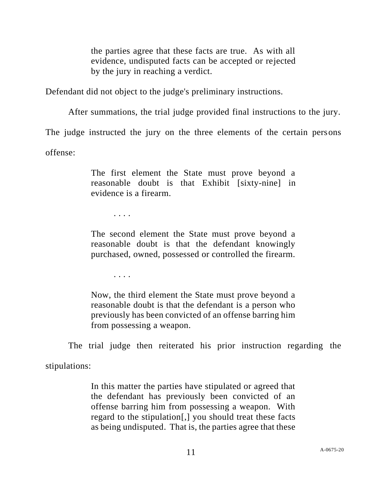the parties agree that these facts are true. As with all evidence, undisputed facts can be accepted or rejected by the jury in reaching a verdict.

Defendant did not object to the judge's preliminary instructions.

After summations, the trial judge provided final instructions to the jury.

The judge instructed the jury on the three elements of the certain persons

offense:

The first element the State must prove beyond a reasonable doubt is that Exhibit [sixty-nine] in evidence is a firearm.

. . . .

The second element the State must prove beyond a reasonable doubt is that the defendant knowingly purchased, owned, possessed or controlled the firearm.

. . . .

Now, the third element the State must prove beyond a reasonable doubt is that the defendant is a person who previously has been convicted of an offense barring him from possessing a weapon.

The trial judge then reiterated his prior instruction regarding the

stipulations:

In this matter the parties have stipulated or agreed that the defendant has previously been convicted of an offense barring him from possessing a weapon. With regard to the stipulation[,] you should treat these facts as being undisputed. That is, the parties agree that these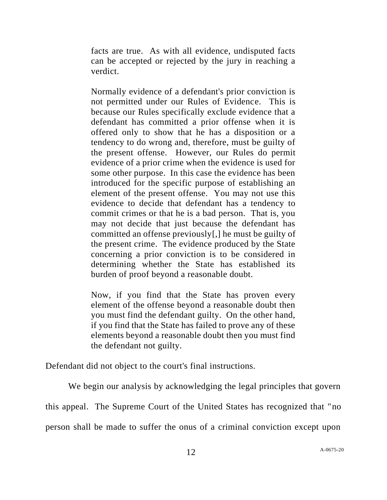facts are true. As with all evidence, undisputed facts can be accepted or rejected by the jury in reaching a verdict.

Normally evidence of a defendant's prior conviction is not permitted under our Rules of Evidence. This is because our Rules specifically exclude evidence that a defendant has committed a prior offense when it is offered only to show that he has a disposition or a tendency to do wrong and, therefore, must be guilty of the present offense. However, our Rules do permit evidence of a prior crime when the evidence is used for some other purpose. In this case the evidence has been introduced for the specific purpose of establishing an element of the present offense. You may not use this evidence to decide that defendant has a tendency to commit crimes or that he is a bad person. That is, you may not decide that just because the defendant has committed an offense previously[,] he must be guilty of the present crime. The evidence produced by the State concerning a prior conviction is to be considered in determining whether the State has established its burden of proof beyond a reasonable doubt.

Now, if you find that the State has proven every element of the offense beyond a reasonable doubt then you must find the defendant guilty. On the other hand, if you find that the State has failed to prove any of these elements beyond a reasonable doubt then you must find the defendant not guilty.

Defendant did not object to the court's final instructions.

We begin our analysis by acknowledging the legal principles that govern this appeal. The Supreme Court of the United States has recognized that "no person shall be made to suffer the onus of a criminal conviction except upon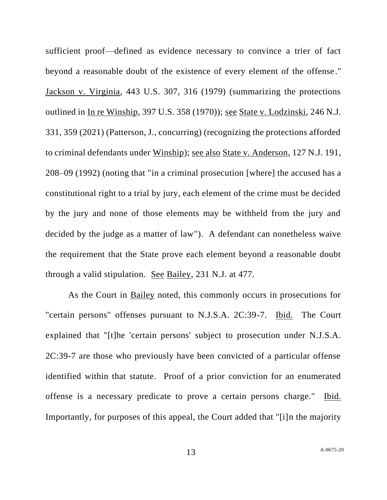sufficient proof—defined as evidence necessary to convince a trier of fact beyond a reasonable doubt of the existence of every element of the offense." Jackson v. Virginia, 443 U.S. 307, 316 (1979) (summarizing the protections outlined in In re Winship, 397 U.S. 358 (1970)); see State v. Lodzinski, 246 N.J. 331, 359 (2021) (Patterson, J., concurring) (recognizing the protections afforded to criminal defendants under Winship); see also State v. Anderson, 127 N.J. 191, 208–09 (1992) (noting that "in a criminal prosecution [where] the accused has a constitutional right to a trial by jury, each element of the crime must be decided by the jury and none of those elements may be withheld from the jury and decided by the judge as a matter of law"). A defendant can nonetheless waive the requirement that the State prove each element beyond a reasonable doubt through a valid stipulation. See Bailey, 231 N.J. at 477.

As the Court in Bailey noted, this commonly occurs in prosecutions for "certain persons" offenses pursuant to N.J.S.A. 2C:39-7. <u>Ibid.</u> The Court explained that "[t]he 'certain persons' subject to prosecution under N.J.S.A. 2C:39-7 are those who previously have been convicted of a particular offense identified within that statute. Proof of a prior conviction for an enumerated offense is a necessary predicate to prove a certain persons charge." Ibid. Importantly, for purposes of this appeal, the Court added that "[i]n the majority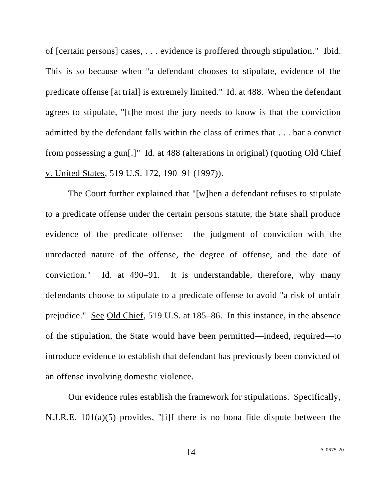of [certain persons] cases, . . . evidence is proffered through stipulation." Ibid. This is so because when "a defendant chooses to stipulate, evidence of the predicate offense [at trial] is extremely limited." Id. at 488. When the defendant agrees to stipulate, "[t]he most the jury needs to know is that the conviction admitted by the defendant falls within the class of crimes that . . . bar a convict from possessing a gun[.]" Id. at 488 (alterations in original) (quoting Old Chief v. United States, 519 U.S. 172, 190–91 (1997)).

The Court further explained that "[w]hen a defendant refuses to stipulate to a predicate offense under the certain persons statute, the State shall produce evidence of the predicate offense: the judgment of conviction with the unredacted nature of the offense, the degree of offense, and the date of conviction." Id. at 490–91. It is understandable, therefore, why many defendants choose to stipulate to a predicate offense to avoid "a risk of unfair prejudice." See Old Chief, 519 U.S. at 185–86. In this instance, in the absence of the stipulation, the State would have been permitted—indeed, required—to introduce evidence to establish that defendant has previously been convicted of an offense involving domestic violence.

Our evidence rules establish the framework for stipulations. Specifically, N.J.R.E. 101(a)(5) provides, "[i]f there is no bona fide dispute between the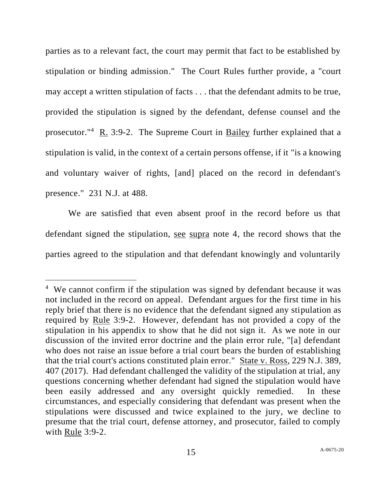parties as to a relevant fact, the court may permit that fact to be established by stipulation or binding admission." The Court Rules further provide, a "court may accept a written stipulation of facts . . . that the defendant admits to be true, provided the stipulation is signed by the defendant, defense counsel and the prosecutor.<sup>"4</sup> R. 3:9-2. The Supreme Court in **Bailey** further explained that a stipulation is valid, in the context of a certain persons offense, if it "is a knowing and voluntary waiver of rights, [and] placed on the record in defendant's presence." 231 N.J. at 488.

We are satisfied that even absent proof in the record before us that defendant signed the stipulation, see supra note 4, the record shows that the parties agreed to the stipulation and that defendant knowingly and voluntarily

<sup>&</sup>lt;sup>4</sup> We cannot confirm if the stipulation was signed by defendant because it was not included in the record on appeal. Defendant argues for the first time in his reply brief that there is no evidence that the defendant signed any stipulation as required by Rule 3:9-2. However, defendant has not provided a copy of the stipulation in his appendix to show that he did not sign it. As we note in our discussion of the invited error doctrine and the plain error rule, "[a] defendant who does not raise an issue before a trial court bears the burden of establishing that the trial court's actions constituted plain error." State v. Ross, 229 N.J. 389, 407 (2017). Had defendant challenged the validity of the stipulation at trial, any questions concerning whether defendant had signed the stipulation would have been easily addressed and any oversight quickly remedied. In these circumstances, and especially considering that defendant was present when the stipulations were discussed and twice explained to the jury, we decline to presume that the trial court, defense attorney, and prosecutor, failed to comply with Rule 3:9-2.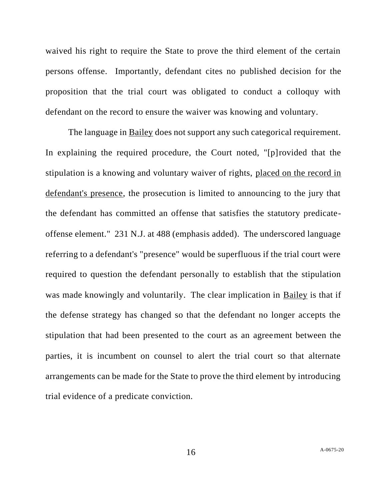waived his right to require the State to prove the third element of the certain persons offense. Importantly, defendant cites no published decision for the proposition that the trial court was obligated to conduct a colloquy with defendant on the record to ensure the waiver was knowing and voluntary.

The language in Bailey does not support any such categorical requirement. In explaining the required procedure, the Court noted, "[p]rovided that the stipulation is a knowing and voluntary waiver of rights, placed on the record in defendant's presence, the prosecution is limited to announcing to the jury that the defendant has committed an offense that satisfies the statutory predicateoffense element." 231 N.J. at 488 (emphasis added). The underscored language referring to a defendant's "presence" would be superfluous if the trial court were required to question the defendant personally to establish that the stipulation was made knowingly and voluntarily. The clear implication in Bailey is that if the defense strategy has changed so that the defendant no longer accepts the stipulation that had been presented to the court as an agreement between the parties, it is incumbent on counsel to alert the trial court so that alternate arrangements can be made for the State to prove the third element by introducing trial evidence of a predicate conviction.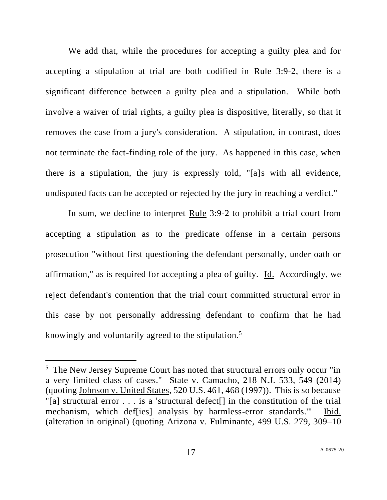We add that, while the procedures for accepting a guilty plea and for accepting a stipulation at trial are both codified in Rule 3:9-2, there is a significant difference between a guilty plea and a stipulation. While both involve a waiver of trial rights, a guilty plea is dispositive, literally, so that it removes the case from a jury's consideration. A stipulation, in contrast, does not terminate the fact-finding role of the jury. As happened in this case, when there is a stipulation, the jury is expressly told, "[a]s with all evidence, undisputed facts can be accepted or rejected by the jury in reaching a verdict."

In sum, we decline to interpret Rule 3:9-2 to prohibit a trial court from accepting a stipulation as to the predicate offense in a certain persons prosecution "without first questioning the defendant personally, under oath or affirmation," as is required for accepting a plea of guilty. Id. Accordingly, we reject defendant's contention that the trial court committed structural error in this case by not personally addressing defendant to confirm that he had knowingly and voluntarily agreed to the stipulation.<sup>5</sup>

<sup>&</sup>lt;sup>5</sup> The New Jersey Supreme Court has noted that structural errors only occur "in a very limited class of cases." State v. Camacho, 218 N.J. 533, 549 (2014) (quoting Johnson v. United States, 520 U.S. 461, 468 (1997)). This is so because "[a] structural error  $\ldots$  is a 'structural defect<sup>[]</sup> in the constitution of the trial mechanism, which def[ies] analysis by harmless-error standards.'" Ibid. (alteration in original) (quoting Arizona v. Fulminante, 499 U.S. 279, 309–10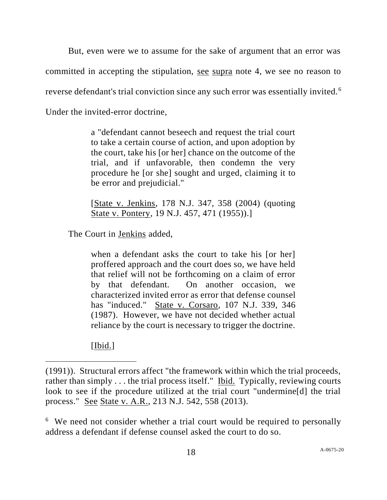But, even were we to assume for the sake of argument that an error was committed in accepting the stipulation, see supra note 4, we see no reason to reverse defendant's trial conviction since any such error was essentially invited.<sup>6</sup> Under the invited-error doctrine,

> a "defendant cannot beseech and request the trial court to take a certain course of action, and upon adoption by the court, take his [or her] chance on the outcome of the trial, and if unfavorable, then condemn the very procedure he [or she] sought and urged, claiming it to be error and prejudicial."

> [State v. Jenkins, 178 N.J. 347, 358 (2004) (quoting State v. Pontery, 19 N.J. 457, 471 (1955)).]

The Court in Jenkins added,

when a defendant asks the court to take his [or her] proffered approach and the court does so, we have held that relief will not be forthcoming on a claim of error by that defendant. On another occasion, we characterized invited error as error that defense counsel has "induced." State v. Corsaro, 107 N.J. 339, 346 (1987). However, we have not decided whether actual reliance by the court is necessary to trigger the doctrine.

[Ibid.]

<sup>6</sup> We need not consider whether a trial court would be required to personally address a defendant if defense counsel asked the court to do so.

<sup>(1991)).</sup> Structural errors affect "the framework within which the trial proceeds, rather than simply . . . the trial process itself." Ibid. Typically, reviewing courts look to see if the procedure utilized at the trial court "undermine[d] the trial process." See State v. A.R., 213 N.J. 542, 558 (2013).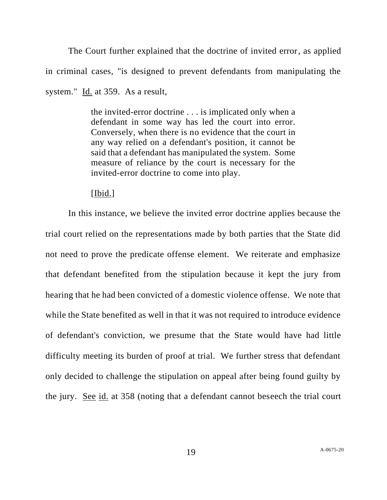The Court further explained that the doctrine of invited error, as applied in criminal cases, "is designed to prevent defendants from manipulating the system." Id. at 359. As a result,

> the invited-error doctrine . . . is implicated only when a defendant in some way has led the court into error. Conversely, when there is no evidence that the court in any way relied on a defendant's position, it cannot be said that a defendant has manipulated the system. Some measure of reliance by the court is necessary for the invited-error doctrine to come into play.

### [Ibid.]

In this instance, we believe the invited error doctrine applies because the trial court relied on the representations made by both parties that the State did not need to prove the predicate offense element. We reiterate and emphasize that defendant benefited from the stipulation because it kept the jury from hearing that he had been convicted of a domestic violence offense. We note that while the State benefited as well in that it was not required to introduce evidence of defendant's conviction, we presume that the State would have had little difficulty meeting its burden of proof at trial. We further stress that defendant only decided to challenge the stipulation on appeal after being found guilty by the jury. See id. at 358 (noting that a defendant cannot beseech the trial court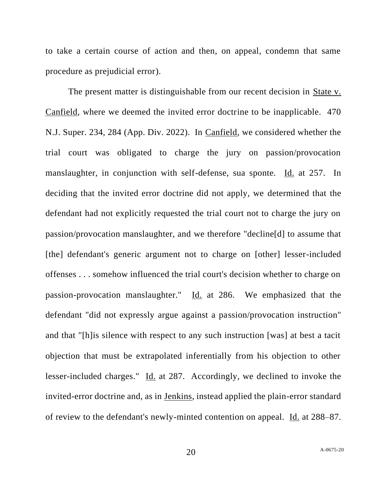to take a certain course of action and then, on appeal, condemn that same procedure as prejudicial error).

The present matter is distinguishable from our recent decision in State v. Canfield, where we deemed the invited error doctrine to be inapplicable. 470 N.J. Super. 234, 284 (App. Div. 2022). In Canfield, we considered whether the trial court was obligated to charge the jury on passion/provocation manslaughter, in conjunction with self-defense, sua sponte. Id. at 257. In deciding that the invited error doctrine did not apply, we determined that the defendant had not explicitly requested the trial court not to charge the jury on passion/provocation manslaughter, and we therefore "decline[d] to assume that [the] defendant's generic argument not to charge on [other] lesser-included offenses . . . somehow influenced the trial court's decision whether to charge on passion-provocation manslaughter." Id. at 286. We emphasized that the defendant "did not expressly argue against a passion/provocation instruction" and that "[h]is silence with respect to any such instruction [was] at best a tacit objection that must be extrapolated inferentially from his objection to other lesser-included charges." Id. at 287. Accordingly, we declined to invoke the invited-error doctrine and, as in Jenkins, instead applied the plain-error standard of review to the defendant's newly-minted contention on appeal. Id. at 288–87.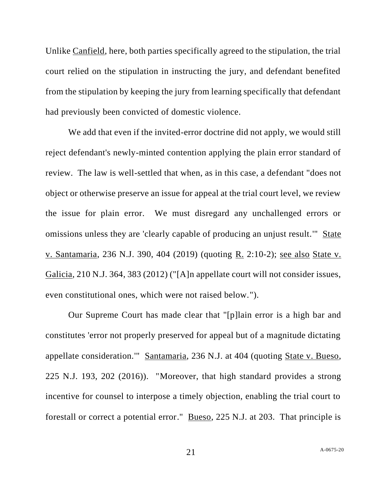Unlike Canfield, here, both parties specifically agreed to the stipulation, the trial court relied on the stipulation in instructing the jury, and defendant benefited from the stipulation by keeping the jury from learning specifically that defendant had previously been convicted of domestic violence.

We add that even if the invited-error doctrine did not apply, we would still reject defendant's newly-minted contention applying the plain error standard of review. The law is well-settled that when, as in this case, a defendant "does not object or otherwise preserve an issue for appeal at the trial court level, we review the issue for plain error. We must disregard any unchallenged errors or omissions unless they are 'clearly capable of producing an unjust result.'" State v. Santamaria, 236 N.J. 390, 404 (2019) (quoting R. 2:10-2); see also State v. Galicia, 210 N.J. 364, 383 (2012) ("[A]n appellate court will not consider issues, even constitutional ones, which were not raised below.").

Our Supreme Court has made clear that "[p]lain error is a high bar and constitutes 'error not properly preserved for appeal but of a magnitude dictating appellate consideration.'" Santamaria, 236 N.J. at 404 (quoting State v. Bueso, 225 N.J. 193, 202 (2016)). "Moreover, that high standard provides a strong incentive for counsel to interpose a timely objection, enabling the trial court to forestall or correct a potential error." Bueso, 225 N.J. at 203. That principle is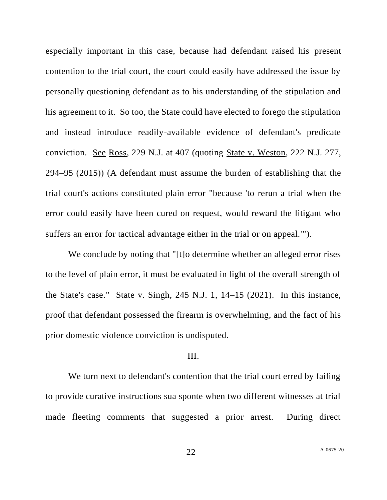especially important in this case, because had defendant raised his present contention to the trial court, the court could easily have addressed the issue by personally questioning defendant as to his understanding of the stipulation and his agreement to it. So too, the State could have elected to forego the stipulation and instead introduce readily-available evidence of defendant's predicate conviction. See Ross, 229 N.J. at 407 (quoting State v. Weston, 222 N.J. 277, 294–95 (2015)) (A defendant must assume the burden of establishing that the trial court's actions constituted plain error "because 'to rerun a trial when the error could easily have been cured on request, would reward the litigant who suffers an error for tactical advantage either in the trial or on appeal.'").

We conclude by noting that "[t]o determine whether an alleged error rises to the level of plain error, it must be evaluated in light of the overall strength of the State's case." State v. Singh, 245 N.J. 1, 14–15 (2021). In this instance, proof that defendant possessed the firearm is overwhelming, and the fact of his prior domestic violence conviction is undisputed.

#### III.

We turn next to defendant's contention that the trial court erred by failing to provide curative instructions sua sponte when two different witnesses at trial made fleeting comments that suggested a prior arrest. During direct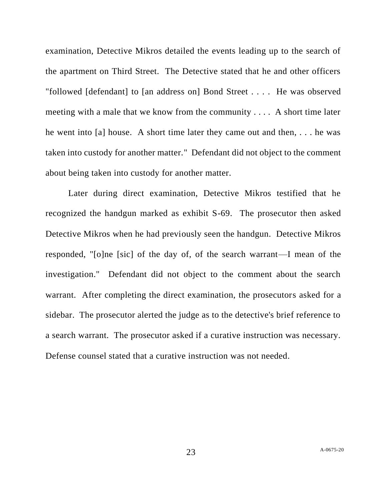examination, Detective Mikros detailed the events leading up to the search of the apartment on Third Street. The Detective stated that he and other officers "followed [defendant] to [an address on] Bond Street . . . . He was observed meeting with a male that we know from the community . . . . A short time later he went into [a] house. A short time later they came out and then, . . . he was taken into custody for another matter." Defendant did not object to the comment about being taken into custody for another matter.

Later during direct examination, Detective Mikros testified that he recognized the handgun marked as exhibit S-69. The prosecutor then asked Detective Mikros when he had previously seen the handgun. Detective Mikros responded, "[o]ne [sic] of the day of, of the search warrant—I mean of the investigation." Defendant did not object to the comment about the search warrant. After completing the direct examination, the prosecutors asked for a sidebar. The prosecutor alerted the judge as to the detective's brief reference to a search warrant. The prosecutor asked if a curative instruction was necessary. Defense counsel stated that a curative instruction was not needed.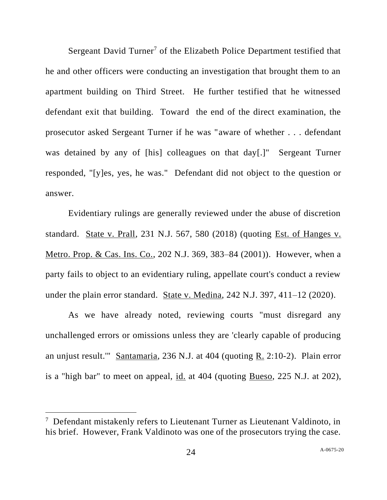Sergeant David Turner<sup>7</sup> of the Elizabeth Police Department testified that he and other officers were conducting an investigation that brought them to an apartment building on Third Street. He further testified that he witnessed defendant exit that building. Toward the end of the direct examination, the prosecutor asked Sergeant Turner if he was "aware of whether . . . defendant was detained by any of [his] colleagues on that day[.]" Sergeant Turner responded, "[y]es, yes, he was." Defendant did not object to the question or answer.

Evidentiary rulings are generally reviewed under the abuse of discretion standard. State v. Prall, 231 N.J. 567, 580 (2018) (quoting Est. of Hanges v. Metro. Prop. & Cas. Ins. Co., 202 N.J. 369, 383–84 (2001)). However, when a party fails to object to an evidentiary ruling, appellate court's conduct a review under the plain error standard. State v. Medina, 242 N.J. 397, 411–12 (2020).

As we have already noted, reviewing courts "must disregard any unchallenged errors or omissions unless they are 'clearly capable of producing an unjust result.'" Santamaria, 236 N.J. at 404 (quoting R. 2:10-2). Plain error is a "high bar" to meet on appeal, id. at 404 (quoting Bueso, 225 N.J. at 202),

<sup>&</sup>lt;sup>7</sup> Defendant mistakenly refers to Lieutenant Turner as Lieutenant Valdinoto, in his brief. However, Frank Valdinoto was one of the prosecutors trying the case.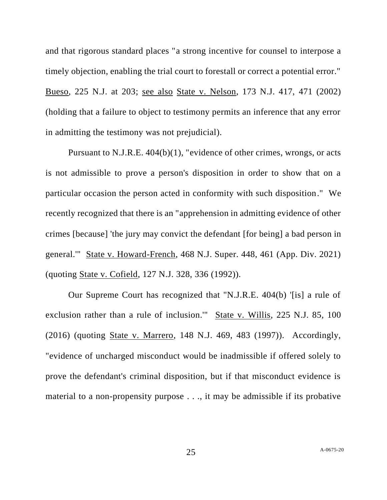and that rigorous standard places "a strong incentive for counsel to interpose a timely objection, enabling the trial court to forestall or correct a potential error." Bueso, 225 N.J. at 203; see also State v. Nelson, 173 N.J. 417, 471 (2002) (holding that a failure to object to testimony permits an inference that any error in admitting the testimony was not prejudicial).

Pursuant to N.J.R.E. 404(b)(1), "evidence of other crimes, wrongs, or acts is not admissible to prove a person's disposition in order to show that on a particular occasion the person acted in conformity with such disposition." We recently recognized that there is an "apprehension in admitting evidence of other crimes [because] 'the jury may convict the defendant [for being] a bad person in general.'" State v. Howard-French, 468 N.J. Super. 448, 461 (App. Div. 2021) (quoting State v. Cofield, 127 N.J. 328, 336 (1992)).

Our Supreme Court has recognized that "N.J.R.E. 404(b) '[is] a rule of exclusion rather than a rule of inclusion.'" State v. Willis, 225 N.J. 85, 100 (2016) (quoting State v. Marrero, 148 N.J. 469, 483 (1997)). Accordingly, "evidence of uncharged misconduct would be inadmissible if offered solely to prove the defendant's criminal disposition, but if that misconduct evidence is material to a non-propensity purpose . . ., it may be admissible if its probative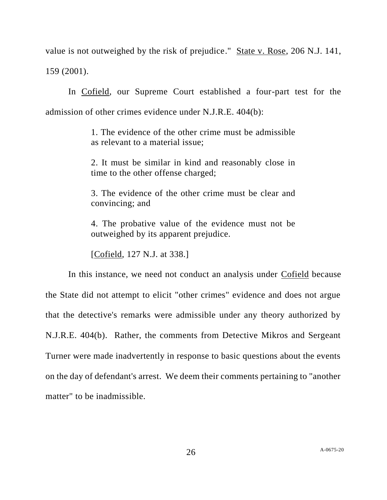value is not outweighed by the risk of prejudice." State v. Rose, 206 N.J. 141, 159 (2001).

In Cofield, our Supreme Court established a four-part test for the admission of other crimes evidence under N.J.R.E. 404(b):

> 1. The evidence of the other crime must be admissible as relevant to a material issue;

> 2. It must be similar in kind and reasonably close in time to the other offense charged;

> 3. The evidence of the other crime must be clear and convincing; and

> 4. The probative value of the evidence must not be outweighed by its apparent prejudice.

[Cofield, 127 N.J. at 338.]

In this instance, we need not conduct an analysis under Cofield because the State did not attempt to elicit "other crimes" evidence and does not argue that the detective's remarks were admissible under any theory authorized by N.J.R.E. 404(b). Rather, the comments from Detective Mikros and Sergeant Turner were made inadvertently in response to basic questions about the events on the day of defendant's arrest. We deem their comments pertaining to "another matter" to be inadmissible.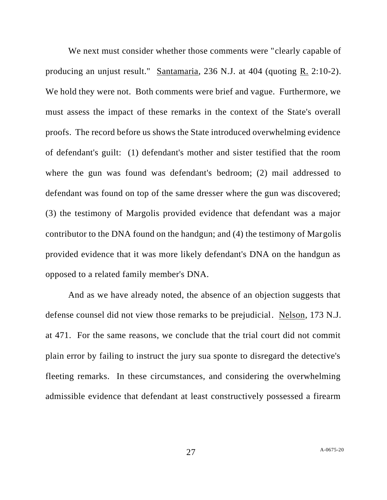We next must consider whether those comments were "clearly capable of producing an unjust result." Santamaria, 236 N.J. at 404 (quoting R. 2:10-2). We hold they were not. Both comments were brief and vague. Furthermore, we must assess the impact of these remarks in the context of the State's overall proofs. The record before us shows the State introduced overwhelming evidence of defendant's guilt: (1) defendant's mother and sister testified that the room where the gun was found was defendant's bedroom; (2) mail addressed to defendant was found on top of the same dresser where the gun was discovered; (3) the testimony of Margolis provided evidence that defendant was a major contributor to the DNA found on the handgun; and (4) the testimony of Margolis provided evidence that it was more likely defendant's DNA on the handgun as opposed to a related family member's DNA.

And as we have already noted, the absence of an objection suggests that defense counsel did not view those remarks to be prejudicial. Nelson, 173 N.J. at 471. For the same reasons, we conclude that the trial court did not commit plain error by failing to instruct the jury sua sponte to disregard the detective's fleeting remarks. In these circumstances, and considering the overwhelming admissible evidence that defendant at least constructively possessed a firearm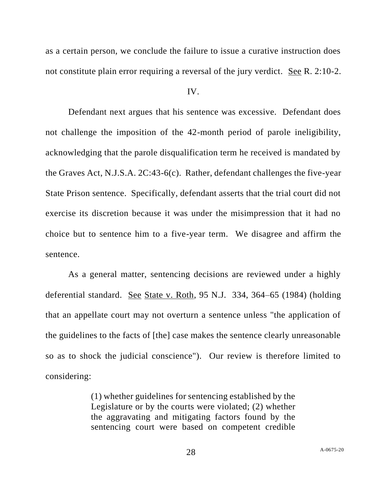as a certain person, we conclude the failure to issue a curative instruction does not constitute plain error requiring a reversal of the jury verdict. See R. 2:10-2.

#### IV.

Defendant next argues that his sentence was excessive. Defendant does not challenge the imposition of the 42-month period of parole ineligibility, acknowledging that the parole disqualification term he received is mandated by the Graves Act, N.J.S.A. 2C:43-6(c). Rather, defendant challenges the five-year State Prison sentence. Specifically, defendant asserts that the trial court did not exercise its discretion because it was under the misimpression that it had no choice but to sentence him to a five-year term. We disagree and affirm the sentence.

As a general matter, sentencing decisions are reviewed under a highly deferential standard. See State v. Roth, 95 N.J. 334, 364–65 (1984) (holding that an appellate court may not overturn a sentence unless "the application of the guidelines to the facts of [the] case makes the sentence clearly unreasonable so as to shock the judicial conscience"). Our review is therefore limited to considering:

> (1) whether guidelines for sentencing established by the Legislature or by the courts were violated; (2) whether the aggravating and mitigating factors found by the sentencing court were based on competent credible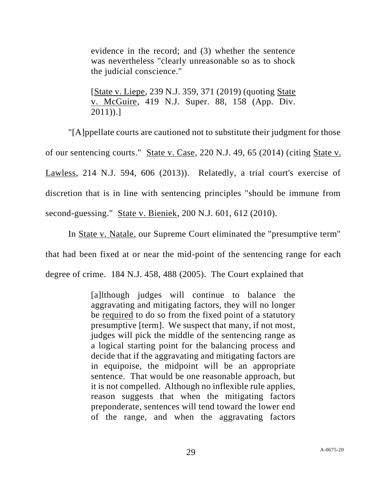evidence in the record; and (3) whether the sentence was nevertheless "clearly unreasonable so as to shock the judicial conscience."

[State v. Liepe, 239 N.J. 359, 371 (2019) (quoting State v. McGuire, 419 N.J. Super. 88, 158 (App. Div. 2011)).]

"[A]ppellate courts are cautioned not to substitute their judgment for those of our sentencing courts." State v. Case, 220 N.J. 49, 65 (2014) (citing State v. Lawless, 214 N.J. 594, 606 (2013)). Relatedly, a trial court's exercise of discretion that is in line with sentencing principles "should be immune from second-guessing." State v. Bieniek, 200 N.J. 601, 612 (2010).

In State v. Natale, our Supreme Court eliminated the "presumptive term" that had been fixed at or near the mid-point of the sentencing range for each degree of crime. 184 N.J. 458, 488 (2005). The Court explained that

> [a]lthough judges will continue to balance the aggravating and mitigating factors, they will no longer be required to do so from the fixed point of a statutory presumptive [term]. We suspect that many, if not most, judges will pick the middle of the sentencing range as a logical starting point for the balancing process and decide that if the aggravating and mitigating factors are in equipoise, the midpoint will be an appropriate sentence. That would be one reasonable approach, but it is not compelled. Although no inflexible rule applies, reason suggests that when the mitigating factors preponderate, sentences will tend toward the lower end of the range, and when the aggravating factors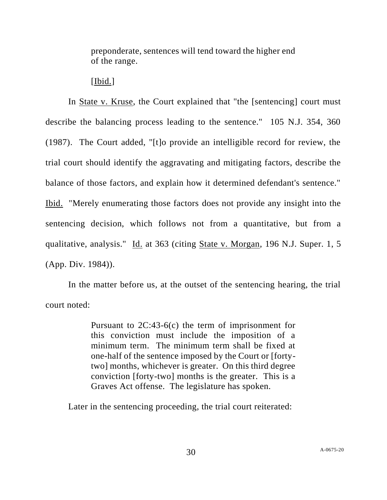preponderate, sentences will tend toward the higher end of the range.

[Ibid.]

In State v. Kruse, the Court explained that "the [sentencing] court must describe the balancing process leading to the sentence." 105 N.J. 354, 360 (1987). The Court added, "[t]o provide an intelligible record for review, the trial court should identify the aggravating and mitigating factors, describe the balance of those factors, and explain how it determined defendant's sentence." Ibid. "Merely enumerating those factors does not provide any insight into the sentencing decision, which follows not from a quantitative, but from a qualitative, analysis." Id. at 363 (citing State v. Morgan, 196 N.J. Super. 1, 5 (App. Div. 1984)).

In the matter before us, at the outset of the sentencing hearing, the trial court noted:

> Pursuant to 2C:43-6(c) the term of imprisonment for this conviction must include the imposition of a minimum term. The minimum term shall be fixed at one-half of the sentence imposed by the Court or [fortytwo] months, whichever is greater. On this third degree conviction [forty-two] months is the greater. This is a Graves Act offense. The legislature has spoken.

Later in the sentencing proceeding, the trial court reiterated: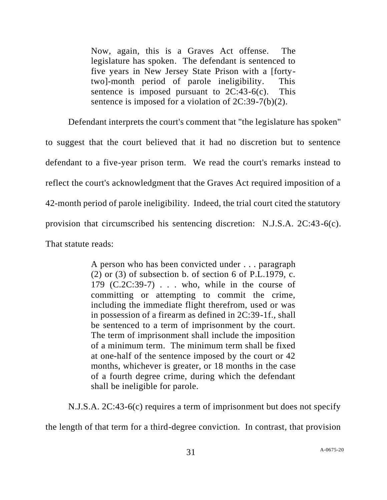Now, again, this is a Graves Act offense. The legislature has spoken. The defendant is sentenced to five years in New Jersey State Prison with a [fortytwo]-month period of parole ineligibility. This sentence is imposed pursuant to  $2C:43-6(c)$ . This sentence is imposed for a violation of 2C:39-7(b)(2).

Defendant interprets the court's comment that "the legislature has spoken" to suggest that the court believed that it had no discretion but to sentence defendant to a five-year prison term. We read the court's remarks instead to reflect the court's acknowledgment that the Graves Act required imposition of a 42-month period of parole ineligibility. Indeed, the trial court cited the statutory provision that circumscribed his sentencing discretion: N.J.S.A. 2C:43-6(c). That statute reads:

> A person who has been convicted under . . . paragraph  $(2)$  or  $(3)$  of subsection b. of section 6 of P.L.1979, c.  $179$   $(C.2C:39-7)$ ... who, while in the course of committing or attempting to commit the crime, including the immediate flight therefrom, used or was in possession of a firearm as defined in 2C:39-1f., shall be sentenced to a term of imprisonment by the court. The term of imprisonment shall include the imposition of a minimum term. The minimum term shall be fixed at one-half of the sentence imposed by the court or 42 months, whichever is greater, or 18 months in the case of a fourth degree crime, during which the defendant shall be ineligible for parole.

N.J.S.A. 2C:43-6(c) requires a term of imprisonment but does not specify

the length of that term for a third-degree conviction. In contrast, that provision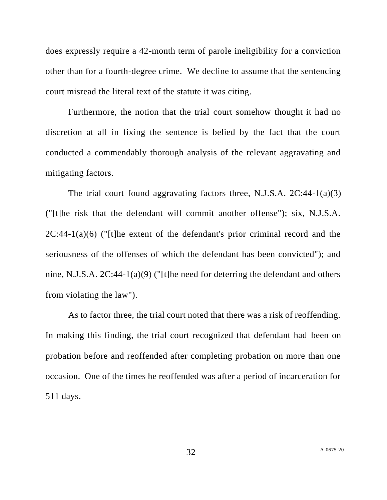does expressly require a 42-month term of parole ineligibility for a conviction other than for a fourth-degree crime. We decline to assume that the sentencing court misread the literal text of the statute it was citing.

Furthermore, the notion that the trial court somehow thought it had no discretion at all in fixing the sentence is belied by the fact that the court conducted a commendably thorough analysis of the relevant aggravating and mitigating factors.

The trial court found aggravating factors three, N.J.S.A. 2C:44-1(a)(3) ("[t]he risk that the defendant will commit another offense"); six, N.J.S.A.  $2C:44-1(a)(6)$  ("[t]he extent of the defendant's prior criminal record and the seriousness of the offenses of which the defendant has been convicted"); and nine, N.J.S.A. 2C:44-1(a)(9) ("[t]he need for deterring the defendant and others from violating the law").

As to factor three, the trial court noted that there was a risk of reoffending. In making this finding, the trial court recognized that defendant had been on probation before and reoffended after completing probation on more than one occasion. One of the times he reoffended was after a period of incarceration for 511 days.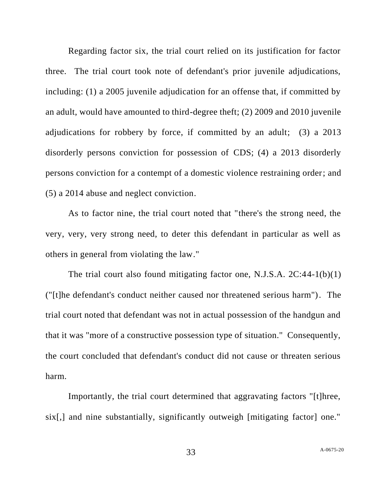Regarding factor six, the trial court relied on its justification for factor three. The trial court took note of defendant's prior juvenile adjudications, including: (1) a 2005 juvenile adjudication for an offense that, if committed by an adult, would have amounted to third-degree theft; (2) 2009 and 2010 juvenile adjudications for robbery by force, if committed by an adult; (3) a 2013 disorderly persons conviction for possession of CDS; (4) a 2013 disorderly persons conviction for a contempt of a domestic violence restraining order; and (5) a 2014 abuse and neglect conviction.

As to factor nine, the trial court noted that "there's the strong need, the very, very, very strong need, to deter this defendant in particular as well as others in general from violating the law."

The trial court also found mitigating factor one, N.J.S.A. 2C:44-1(b)(1) ("[t]he defendant's conduct neither caused nor threatened serious harm"). The trial court noted that defendant was not in actual possession of the handgun and that it was "more of a constructive possession type of situation." Consequently, the court concluded that defendant's conduct did not cause or threaten serious harm.

Importantly, the trial court determined that aggravating factors "[t]hree, six[,] and nine substantially, significantly outweigh [mitigating factor] one."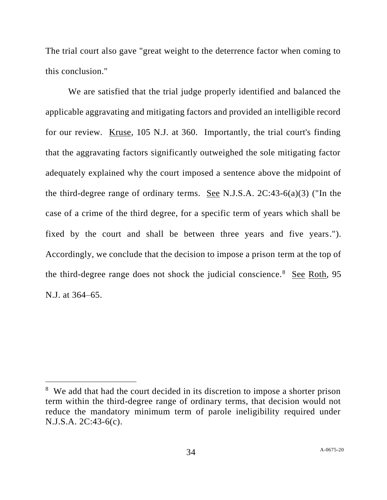The trial court also gave "great weight to the deterrence factor when coming to this conclusion."

We are satisfied that the trial judge properly identified and balanced the applicable aggravating and mitigating factors and provided an intelligible record for our review. Kruse, 105 N.J. at 360. Importantly, the trial court's finding that the aggravating factors significantly outweighed the sole mitigating factor adequately explained why the court imposed a sentence above the midpoint of the third-degree range of ordinary terms. See N.J.S.A. 2C:43-6(a)(3) ("In the case of a crime of the third degree, for a specific term of years which shall be fixed by the court and shall be between three years and five years."). Accordingly, we conclude that the decision to impose a prison term at the top of the third-degree range does not shock the judicial conscience.<sup>8</sup> See Roth, 95 N.J. at 364–65.

<sup>&</sup>lt;sup>8</sup> We add that had the court decided in its discretion to impose a shorter prison term within the third-degree range of ordinary terms, that decision would not reduce the mandatory minimum term of parole ineligibility required under N.J.S.A. 2C:43-6(c).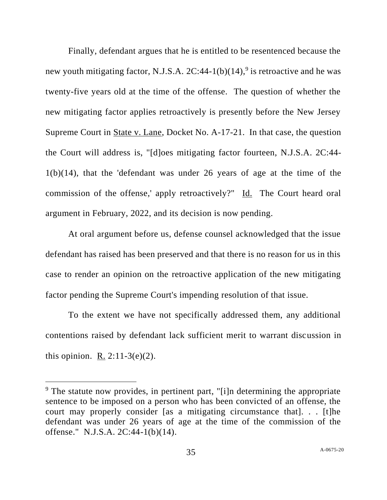Finally, defendant argues that he is entitled to be resentenced because the new youth mitigating factor, N.J.S.A.  $2C:44-1(b)(14)$ ,<sup>9</sup> is retroactive and he was twenty-five years old at the time of the offense. The question of whether the new mitigating factor applies retroactively is presently before the New Jersey Supreme Court in State v. Lane, Docket No. A-17-21. In that case, the question the Court will address is, "[d]oes mitigating factor fourteen, N.J.S.A. 2C:44- 1(b)(14), that the 'defendant was under 26 years of age at the time of the commission of the offense,' apply retroactively?" Id. The Court heard oral argument in February, 2022, and its decision is now pending.

At oral argument before us, defense counsel acknowledged that the issue defendant has raised has been preserved and that there is no reason for us in this case to render an opinion on the retroactive application of the new mitigating factor pending the Supreme Court's impending resolution of that issue.

To the extent we have not specifically addressed them, any additional contentions raised by defendant lack sufficient merit to warrant discussion in this opinion. R.  $2:11-3(e)(2)$ .

 $9$  The statute now provides, in pertinent part, "[i]n determining the appropriate sentence to be imposed on a person who has been convicted of an offense, the court may properly consider [as a mitigating circumstance that]. . . [t]he defendant was under 26 years of age at the time of the commission of the offense." N.J.S.A. 2C:44-1(b)(14).